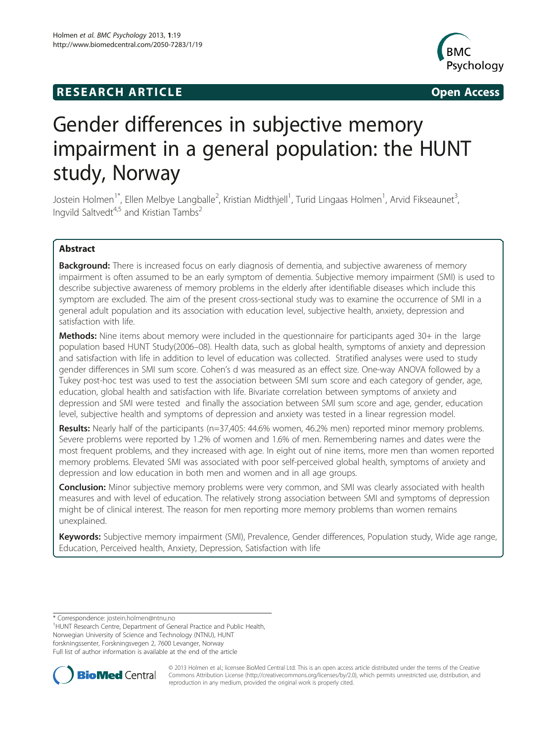## **RESEARCH ARTICLE Example 2008 CONSIDERING CONSIDERING CONSIDERING CONSIDERING CONSIDERING CONSIDERING CONSIDERING CONSIDERING CONSIDERING CONSIDERING CONSIDERING CONSIDERING CONSIDERING CONSIDERING CONSIDERING CONSIDE**



# Gender differences in subjective memory impairment in a general population: the HUNT study, Norway

Jostein Holmen<sup>1\*</sup>, Ellen Melbye Langballe<sup>2</sup>, Kristian Midthjell<sup>1</sup>, Turid Lingaas Holmen<sup>1</sup>, Arvid Fikseaunet<sup>3</sup> , Ingvild Saltvedt<sup>4,5</sup> and Kristian Tambs<sup>2</sup>

## Abstract

**Background:** There is increased focus on early diagnosis of dementia, and subjective awareness of memory impairment is often assumed to be an early symptom of dementia. Subjective memory impairment (SMI) is used to describe subjective awareness of memory problems in the elderly after identifiable diseases which include this symptom are excluded. The aim of the present cross-sectional study was to examine the occurrence of SMI in a general adult population and its association with education level, subjective health, anxiety, depression and satisfaction with life.

Methods: Nine items about memory were included in the questionnaire for participants aged 30+ in the large population based HUNT Study(2006–08). Health data, such as global health, symptoms of anxiety and depression and satisfaction with life in addition to level of education was collected. Stratified analyses were used to study gender differences in SMI sum score. Cohen's d was measured as an effect size. One-way ANOVA followed by a Tukey post-hoc test was used to test the association between SMI sum score and each category of gender, age, education, global health and satisfaction with life. Bivariate correlation between symptoms of anxiety and depression and SMI were tested and finally the association between SMI sum score and age, gender, education level, subjective health and symptoms of depression and anxiety was tested in a linear regression model.

Results: Nearly half of the participants (n=37,405: 44.6% women, 46.2% men) reported minor memory problems. Severe problems were reported by 1.2% of women and 1.6% of men. Remembering names and dates were the most frequent problems, and they increased with age. In eight out of nine items, more men than women reported memory problems. Elevated SMI was associated with poor self-perceived global health, symptoms of anxiety and depression and low education in both men and women and in all age groups.

**Conclusion:** Minor subjective memory problems were very common, and SMI was clearly associated with health measures and with level of education. The relatively strong association between SMI and symptoms of depression might be of clinical interest. The reason for men reporting more memory problems than women remains unexplained.

Keywords: Subjective memory impairment (SMI), Prevalence, Gender differences, Population study, Wide age range, Education, Perceived health, Anxiety, Depression, Satisfaction with life

\* Correspondence: [jostein.holmen@ntnu.no](mailto:jostein.holmen@ntnu.no) <sup>1</sup>

<sup>1</sup>HUNT Research Centre, Department of General Practice and Public Health, Norwegian University of Science and Technology (NTNU), HUNT forskningssenter, Forskningsvegen 2, 7600 Levanger, Norway Full list of author information is available at the end of the article



© 2013 Holmen et al.; licensee BioMed Central Ltd. This is an open access article distributed under the terms of the Creative Commons Attribution License [\(http://creativecommons.org/licenses/by/2.0\)](http://creativecommons.org/licenses/by/2.0), which permits unrestricted use, distribution, and reproduction in any medium, provided the original work is properly cited.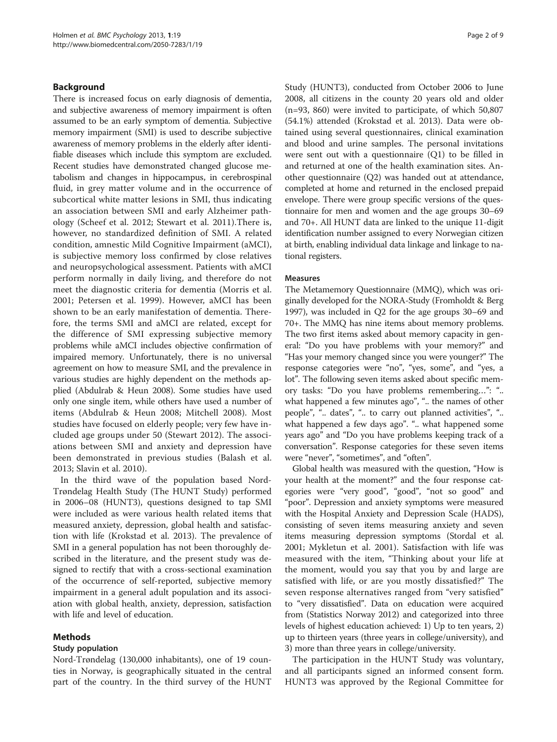## Background

There is increased focus on early diagnosis of dementia, and subjective awareness of memory impairment is often assumed to be an early symptom of dementia. Subjective memory impairment (SMI) is used to describe subjective awareness of memory problems in the elderly after identifiable diseases which include this symptom are excluded. Recent studies have demonstrated changed glucose metabolism and changes in hippocampus, in cerebrospinal fluid, in grey matter volume and in the occurrence of subcortical white matter lesions in SMI, thus indicating an association between SMI and early Alzheimer pathology (Scheef et al. [2012;](#page-8-0) Stewart et al. [2011\)](#page-8-0).There is, however, no standardized definition of SMI. A related condition, amnestic Mild Cognitive Impairment (aMCI), is subjective memory loss confirmed by close relatives and neuropsychological assessment. Patients with aMCI perform normally in daily living, and therefore do not meet the diagnostic criteria for dementia (Morris et al. [2001;](#page-7-0) Petersen et al. [1999](#page-8-0)). However, aMCI has been shown to be an early manifestation of dementia. Therefore, the terms SMI and aMCI are related, except for the difference of SMI expressing subjective memory problems while aMCI includes objective confirmation of impaired memory. Unfortunately, there is no universal agreement on how to measure SMI, and the prevalence in various studies are highly dependent on the methods applied (Abdulrab & Heun [2008](#page-7-0)). Some studies have used only one single item, while others have used a number of items (Abdulrab & Heun [2008;](#page-7-0) Mitchell [2008\)](#page-7-0). Most studies have focused on elderly people; very few have included age groups under 50 (Stewart [2012](#page-8-0)). The associations between SMI and anxiety and depression have been demonstrated in previous studies (Balash et al. [2013;](#page-7-0) Slavin et al. [2010\)](#page-8-0).

In the third wave of the population based Nord-Trøndelag Health Study (The HUNT Study) performed in 2006–08 (HUNT3), questions designed to tap SMI were included as were various health related items that measured anxiety, depression, global health and satisfaction with life (Krokstad et al. [2013\)](#page-7-0). The prevalence of SMI in a general population has not been thoroughly described in the literature, and the present study was designed to rectify that with a cross-sectional examination of the occurrence of self-reported, subjective memory impairment in a general adult population and its association with global health, anxiety, depression, satisfaction with life and level of education.

#### Methods

#### Study population

Nord-Trøndelag (130,000 inhabitants), one of 19 counties in Norway, is geographically situated in the central part of the country. In the third survey of the HUNT

Study (HUNT3), conducted from October 2006 to June 2008, all citizens in the county 20 years old and older (n=93, 860) were invited to participate, of which 50,807 (54.1%) attended (Krokstad et al. [2013](#page-7-0)). Data were obtained using several questionnaires, clinical examination and blood and urine samples. The personal invitations were sent out with a questionnaire (Q1) to be filled in and returned at one of the health examination sites. Another questionnaire (Q2) was handed out at attendance, completed at home and returned in the enclosed prepaid envelope. There were group specific versions of the questionnaire for men and women and the age groups 30–69 and 70+. All HUNT data are linked to the unique 11-digit identification number assigned to every Norwegian citizen at birth, enabling individual data linkage and linkage to national registers.

#### Measures

The Metamemory Questionnaire (MMQ), which was originally developed for the NORA-Study (Fromholdt & Berg [1997](#page-7-0)), was included in Q2 for the age groups 30–69 and 70+. The MMQ has nine items about memory problems. The two first items asked about memory capacity in general: "Do you have problems with your memory?" and "Has your memory changed since you were younger?" The response categories were "no", "yes, some", and "yes, a lot". The following seven items asked about specific memory tasks: "Do you have problems remembering…": ".. what happened a few minutes ago", ".. the names of other people", ".. dates", ".. to carry out planned activities", ".. what happened a few days ago". ".. what happened some years ago" and "Do you have problems keeping track of a conversation". Response categories for these seven items were "never", "sometimes", and "often".

Global health was measured with the question, "How is your health at the moment?" and the four response categories were "very good", "good", "not so good" and "poor". Depression and anxiety symptoms were measured with the Hospital Anxiety and Depression Scale (HADS), consisting of seven items measuring anxiety and seven items measuring depression symptoms (Stordal et al. [2001](#page-8-0); Mykletun et al. [2001\)](#page-7-0). Satisfaction with life was measured with the item, "Thinking about your life at the moment, would you say that you by and large are satisfied with life, or are you mostly dissatisfied?" The seven response alternatives ranged from "very satisfied" to "very dissatisfied". Data on education were acquired from (Statistics Norway [2012](#page-7-0)) and categorized into three levels of highest education achieved: 1) Up to ten years, 2) up to thirteen years (three years in college/university), and 3) more than three years in college/university.

The participation in the HUNT Study was voluntary, and all participants signed an informed consent form. HUNT3 was approved by the Regional Committee for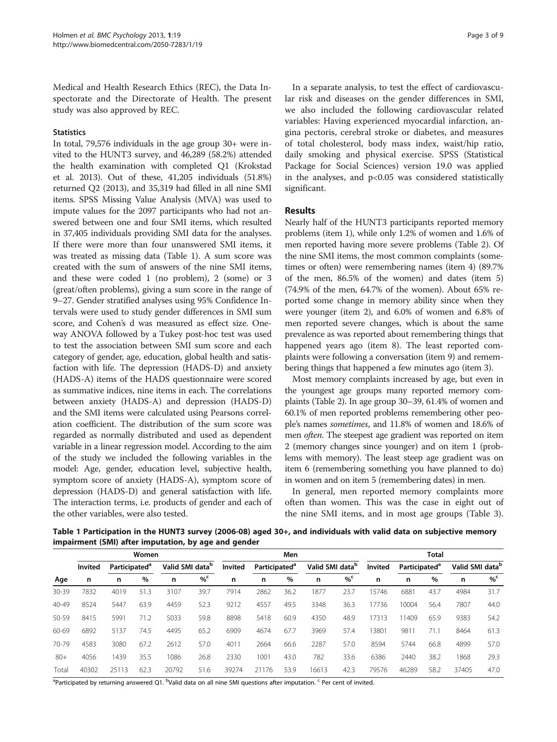Medical and Health Research Ethics (REC), the Data Inspectorate and the Directorate of Health. The present study was also approved by REC.

#### **Statistics**

In total, 79,576 individuals in the age group 30+ were invited to the HUNT3 survey, and 46,289 (58.2%) attended the health examination with completed Q1 (Krokstad et al. [2013](#page-7-0)). Out of these, 41,205 individuals (51.8%) returned Q2 [\(2013](#page-7-0)), and 35,319 had filled in all nine SMI items. SPSS Missing Value Analysis (MVA) was used to impute values for the 2097 participants who had not answered between one and four SMI items, which resulted in 37,405 individuals providing SMI data for the analyses. If there were more than four unanswered SMI items, it was treated as missing data (Table 1). A sum score was created with the sum of answers of the nine SMI items, and these were coded 1 (no problem), 2 (some) or 3 (great/often problems), giving a sum score in the range of 9–27. Gender stratified analyses using 95% Confidence Intervals were used to study gender differences in SMI sum score, and Cohen's d was measured as effect size. Oneway ANOVA followed by a Tukey post-hoc test was used to test the association between SMI sum score and each category of gender, age, education, global health and satisfaction with life. The depression (HADS-D) and anxiety (HADS-A) items of the HADS questionnaire were scored as summative indices, nine items in each. The correlations between anxiety (HADS-A) and depression (HADS-D) and the SMI items were calculated using Pearsons correlation coefficient. The distribution of the sum score was regarded as normally distributed and used as dependent variable in a linear regression model. According to the aim of the study we included the following variables in the model: Age, gender, education level, subjective health, symptom score of anxiety (HADS-A), symptom score of depression (HADS-D) and general satisfaction with life. The interaction terms, i.e. products of gender and each of the other variables, were also tested.

In a separate analysis, to test the effect of cardiovascular risk and diseases on the gender differences in SMI, we also included the following cardiovascular related variables: Having experienced myocardial infarction, angina pectoris, cerebral stroke or diabetes, and measures of total cholesterol, body mass index, waist/hip ratio, daily smoking and physical exercise. SPSS (Statistical Package for Social Sciences) version 19.0 was applied in the analyses, and  $p<0.05$  was considered statistically significant.

## Results

Nearly half of the HUNT3 participants reported memory problems (item 1), while only 1.2% of women and 1.6% of men reported having more severe problems (Table [2\)](#page-3-0). Of the nine SMI items, the most common complaints (sometimes or often) were remembering names (item 4) (89.7% of the men, 86.5% of the women) and dates (item 5) (74.9% of the men, 64.7% of the women). About 65% reported some change in memory ability since when they were younger (item 2), and 6.0% of women and 6.8% of men reported severe changes, which is about the same prevalence as was reported about remembering things that happened years ago (item 8). The least reported complaints were following a conversation (item 9) and remembering things that happened a few minutes ago (item 3).

Most memory complaints increased by age, but even in the youngest age groups many reported memory complaints (Table [2\)](#page-3-0). In age group 30–39, 61.4% of women and 60.1% of men reported problems remembering other people's names sometimes, and 11.8% of women and 18.6% of men *often*. The steepest age gradient was reported on item 2 (memory changes since younger) and on item 1 (problems with memory). The least steep age gradient was on item 6 (remembering something you have planned to do) in women and on item 5 (remembering dates) in men.

In general, men reported memory complaints more often than women. This was the case in eight out of the nine SMI items, and in most age groups (Table [3](#page-4-0)).

Table 1 Participation in the HUNT3 survey (2006-08) aged 30+, and individuals with valid data on subjective memory impairment (SMI) after imputation, by age and gender

|           |                |                           | Women |                             | Men  |         |                           |      |                             | <b>Total</b> |            |                           |      |                             |      |
|-----------|----------------|---------------------------|-------|-----------------------------|------|---------|---------------------------|------|-----------------------------|--------------|------------|---------------------------|------|-----------------------------|------|
|           | <b>Invited</b> | Participated <sup>a</sup> |       | Valid SMI data <sup>b</sup> |      | Invited | Participated <sup>a</sup> |      | Valid SMI data <sup>b</sup> |              | Invited    | Participated <sup>a</sup> |      | Valid SMI data <sup>b</sup> |      |
| Age       | n              | n                         | %     | n                           | %c   | n       | n                         | $\%$ | n                           | $\%$         | n          | n                         | $\%$ | n                           | $\%$ |
| $30 - 39$ | 7832           | 4019                      | 51.3  | 3107                        | 39.7 | 7914    | 2862                      | 36.2 | 1877                        | 23.7         | 15746      | 6881                      | 43.7 | 4984                        | 31.7 |
| 40-49     | 8524           | 5447                      | 63.9  | 4459                        | 52.3 | 9212    | 4557                      | 49.5 | 3348                        | 36.3         | 17736      | 10004                     | 56.4 | 7807                        | 44.0 |
| 50-59     | 8415           | 5991                      | 71.2  | 5033                        | 59.8 | 8898    | 5418                      | 60.9 | 4350                        | 48.9         | 1731<br>13 | 1409                      | 65.9 | 9383                        | 54.2 |
| 60-69     | 6892           | 5137                      | 74.5  | 4495                        | 65.2 | 6909    | 4674                      | 67.7 | 3969                        | 57.4         | 13801      | 9811                      | 71.1 | 8464                        | 61.3 |
| $70 - 79$ | 4583           | 3080                      | 67.2  | 2612                        | 57.0 | 4011    | 2664                      | 66.6 | 2287                        | 57.0         | 8594       | 5744                      | 66.8 | 4899                        | 57.0 |
| $80+$     | 4056           | 1439                      | 35.5  | 1086                        | 26.8 | 2330    | 1001                      | 43.0 | 782                         | 33.6         | 6386       | 2440                      | 38.2 | 1868                        | 29.3 |
| Total     | 40302          | 251<br>13                 | 62.3  | 20792                       | 51.6 | 39274   | 21176                     | 53.9 | 16613                       | 42.3         | 79576      | 46289                     | 58.2 | 37405                       | 47.0 |

<sup>a</sup>Participated by returning answered Q1. <sup>b</sup>Valid data on all nine SMI questions after imputation. <sup>c</sup> Per cent of invited.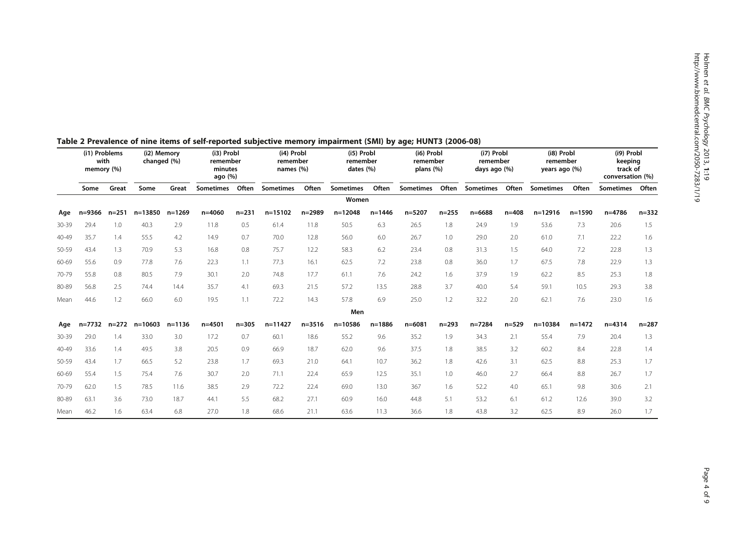|       | (i1) Problems<br>with<br>memory (%) |           | (i2) Memory<br>changed (%) |            | (i3) Probl<br>remember<br>minutes<br>ago (%) |           | (i4) Probl<br>remember<br>names (%) |            | (i5) Probl<br>remember<br>dates (%) |            | (i6) Probl<br>remember<br>plans $(%)$ |           | (i7) Probl<br>remember<br>days ago (%) |           | (i8) Probl<br>remember<br>years ago (%) |            | (i9) Probl<br>keeping<br>track of<br>conversation (%) |           |
|-------|-------------------------------------|-----------|----------------------------|------------|----------------------------------------------|-----------|-------------------------------------|------------|-------------------------------------|------------|---------------------------------------|-----------|----------------------------------------|-----------|-----------------------------------------|------------|-------------------------------------------------------|-----------|
|       | Some                                | Great     | Some                       | Great      | Sometimes                                    | Often     | <b>Sometimes</b>                    | Often      | <b>Sometimes</b>                    | Often      | Sometimes                             | Often     | Sometimes                              | Often     | <b>Sometimes</b>                        | Often      | Sometimes                                             | Often     |
|       |                                     |           |                            |            |                                              |           |                                     |            | Women                               |            |                                       |           |                                        |           |                                         |            |                                                       |           |
| Age   | n=9366                              | $n = 251$ | $n = 13850$                | $n = 1269$ | $n = 4060$                                   | $n = 231$ | n=15102                             | n=2989     | $n = 12048$                         | $n = 1446$ | n=5207                                | $n = 255$ | $n = 6688$                             | $n = 408$ | n=12916                                 | $n = 1590$ | n=4786                                                | $n = 332$ |
| 30-39 | 29.4                                | 1.0       | 40.3                       | 2.9        | 11.8                                         | 0.5       | 61.4                                | 11.8       | 50.5                                | 6.3        | 26.5                                  | 1.8       | 24.9                                   | 1.9       | 53.6                                    | 7.3        | 20.6                                                  | 1.5       |
| 40-49 | 35.7                                | 1.4       | 55.5                       | 4.2        | 14.9                                         | 0.7       | 70.0                                | 12.8       | 56.0                                | 6.0        | 26.7                                  | 1.0       | 29.0                                   | 2.0       | 61.0                                    | 7.1        | 22.2                                                  | 1.6       |
| 50-59 | 43.4                                | 1.3       | 70.9                       | 5.3        | 16.8                                         | 0.8       | 75.7                                | 12.2       | 58.3                                | 6.2        | 23.4                                  | 0.8       | 31.3                                   | 1.5       | 64.0                                    | 7.2        | 22.8                                                  | 1.3       |
| 60-69 | 55.6                                | 0.9       | 77.8                       | 7.6        | 22.3                                         | 1.1       | 77.3                                | 16.1       | 62.5                                | 7.2        | 23.8                                  | 0.8       | 36.0                                   | 1.7       | 67.5                                    | 7.8        | 22.9                                                  | 1.3       |
| 70-79 | 55.8                                | 0.8       | 80.5                       | 7.9        | 30.1                                         | 2.0       | 74.8                                | 17.7       | 61.1                                | 7.6        | 24.2                                  | 1.6       | 37.9                                   | 1.9       | 62.2                                    | 8.5        | 25.3                                                  | 1.8       |
| 80-89 | 56.8                                | 2.5       | 74.4                       | 14.4       | 35.7                                         | 4.1       | 69.3                                | 21.5       | 57.2                                | 13.5       | 28.8                                  | 3.7       | 40.0                                   | 5.4       | 59.1                                    | 10.5       | 29.3                                                  | 3.8       |
| Mean  | 44.6                                | 1.2       | 66.0                       | 6.0        | 19.5                                         | 1.1       | 72.2                                | 14.3       | 57.8                                | 6.9        | 25.0                                  | 1.2       | 32.2                                   | 2.0       | 62.1                                    | 7.6        | 23.0                                                  | 1.6       |
|       |                                     |           |                            |            |                                              |           |                                     |            | Men                                 |            |                                       |           |                                        |           |                                         |            |                                                       |           |
| Age   | n=7732                              | $n = 272$ | n=10603                    | $n = 1136$ | $n = 4501$                                   | $n = 305$ | $n=11427$                           | $n = 3516$ | $n = 10586$                         | $n = 1886$ | $n = 6081$                            | $n = 293$ | $n = 7284$                             | $n = 529$ | $n = 10384$                             | $n = 1472$ | $n = 4314$                                            | $n = 287$ |
| 30-39 | 29.0                                | 1.4       | 33.0                       | 3.0        | 17.2                                         | 0.7       | 60.1                                | 18.6       | 55.2                                | 9.6        | 35.2                                  | 1.9       | 34.3                                   | 2.1       | 55.4                                    | 7.9        | 20.4                                                  | 1.3       |
| 40-49 | 33.6                                | 1.4       | 49.5                       | 3.8        | 20.5                                         | 0.9       | 66.9                                | 18.7       | 62.0                                | 9.6        | 37.5                                  | 1.8       | 38.5                                   | 3.2       | 60.2                                    | 8.4        | 22.8                                                  | 1.4       |
| 50-59 | 43.4                                | 1.7       | 66.5                       | 5.2        | 23.8                                         | 1.7       | 69.3                                | 21.0       | 64.1                                | 10.7       | 36.2                                  | 1.8       | 42.6                                   | 3.1       | 62.5                                    | 8.8        | 25.3                                                  | 1.7       |
| 60-69 | 55.4                                | 1.5       | 75.4                       | 7.6        | 30.7                                         | 2.0       | 71.1                                | 22.4       | 65.9                                | 12.5       | 35.1                                  | 1.0       | 46.0                                   | 2.7       | 66.4                                    | 8.8        | 26.7                                                  | 1.7       |
| 70-79 | 62.0                                | 1.5       | 78.5                       | 11.6       | 38.5                                         | 2.9       | 72.2                                | 22.4       | 69.0                                | 13.0       | 367                                   | 1.6       | 52.2                                   | 4.0       | 65.1                                    | 9.8        | 30.6                                                  | 2.1       |
| 80-89 | 63.1                                | 3.6       | 73.0                       | 18.7       | 44.1                                         | 5.5       | 68.2                                | 27.1       | 60.9                                | 16.0       | 44.8                                  | 5.1       | 53.2                                   | 6.1       | 61.2                                    | 12.6       | 39.0                                                  | 3.2       |
| Mean  | 46.2                                | 1.6       | 63.4                       | 6.8        | 27.0                                         | 1.8       | 68.6                                | 21.1       | 63.6                                | 11.3       | 36.6                                  | 1.8       | 43.8                                   | 3.2       | 62.5                                    | 8.9        | 26.0                                                  | 1.7       |

## <span id="page-3-0"></span>Table 2 Prevalence of nine items of self-reported subjective memory impairment (SMI) by age; HUNT3 (2006-08)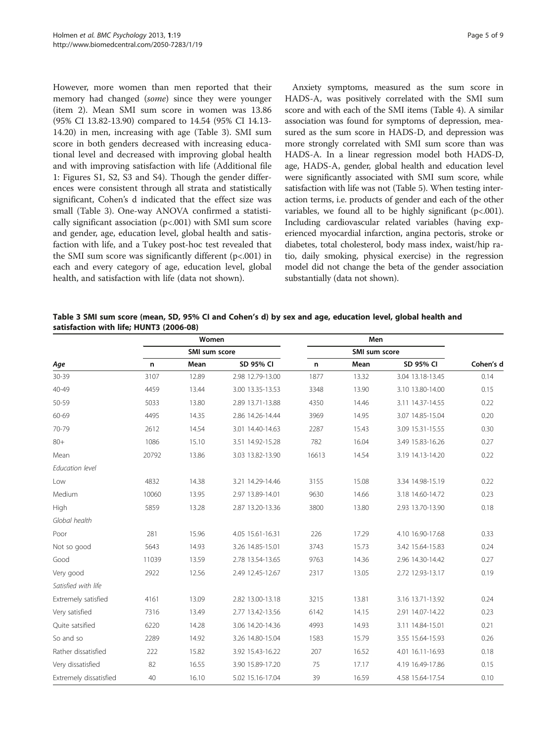<span id="page-4-0"></span>However, more women than men reported that their memory had changed (some) since they were younger (item 2). Mean SMI sum score in women was 13.86 (95% CI 13.82-13.90) compared to 14.54 (95% CI 14.13- 14.20) in men, increasing with age (Table 3). SMI sum score in both genders decreased with increasing educational level and decreased with improving global health and with improving satisfaction with life (Additional file [1:](#page-7-0) Figures S1, S2, S3 and S4). Though the gender differences were consistent through all strata and statistically significant, Cohen's d indicated that the effect size was small (Table 3). One-way ANOVA confirmed a statistically significant association (p<.001) with SMI sum score and gender, age, education level, global health and satisfaction with life, and a Tukey post-hoc test revealed that the SMI sum score was significantly different  $(p<0.001)$  in each and every category of age, education level, global health, and satisfaction with life (data not shown).

Anxiety symptoms, measured as the sum score in HADS-A, was positively correlated with the SMI sum score and with each of the SMI items (Table [4](#page-5-0)). A similar association was found for symptoms of depression, measured as the sum score in HADS-D, and depression was more strongly correlated with SMI sum score than was HADS-A. In a linear regression model both HADS-D, age, HADS-A, gender, global health and education level were significantly associated with SMI sum score, while satisfaction with life was not (Table [5](#page-5-0)). When testing interaction terms, i.e. products of gender and each of the other variables, we found all to be highly significant (p<.001). Including cardiovascular related variables (having experienced myocardial infarction, angina pectoris, stroke or diabetes, total cholesterol, body mass index, waist/hip ratio, daily smoking, physical exercise) in the regression model did not change the beta of the gender association substantially (data not shown).

Table 3 SMI sum score (mean, SD, 95% CI and Cohen's d) by sex and age, education level, global health and satisfaction with life; HUNT3 (2006-08)

|                        |       | Women         |                  |       |       |                  |           |  |
|------------------------|-------|---------------|------------------|-------|-------|------------------|-----------|--|
|                        |       | SMI sum score |                  |       |       |                  |           |  |
| Age                    | n     | Mean          | SD 95% CI        | n     | Mean  | SD 95% CI        | Cohen's d |  |
| 30-39                  | 3107  | 12.89         | 2.98 12.79-13.00 | 1877  | 13.32 | 3.04 13.18-13.45 | 0.14      |  |
| 40-49                  | 4459  | 13.44         | 3.00 13.35-13.53 | 3348  | 13.90 | 3.10 13.80-14.00 | 0.15      |  |
| 50-59                  | 5033  | 13.80         | 2.89 13.71-13.88 | 4350  | 14.46 | 3.11 14.37-14.55 | 0.22      |  |
| 60-69                  | 4495  | 14.35         | 2.86 14.26-14.44 | 3969  | 14.95 | 3.07 14.85-15.04 | 0.20      |  |
| 70-79                  | 2612  | 14.54         | 3.01 14.40-14.63 | 2287  | 15.43 | 3.09 15.31-15.55 | 0.30      |  |
| $80+$                  | 1086  | 15.10         | 3.51 14.92-15.28 | 782   | 16.04 | 3.49 15.83-16.26 | 0.27      |  |
| Mean                   | 20792 | 13.86         | 3.03 13.82-13.90 | 16613 | 14.54 | 3.19 14.13-14.20 | 0.22      |  |
| Education level        |       |               |                  |       |       |                  |           |  |
| Low                    | 4832  | 14.38         | 3.21 14.29-14.46 | 3155  | 15.08 | 3.34 14.98-15.19 | 0.22      |  |
| Medium                 | 10060 | 13.95         | 2.97 13.89-14.01 | 9630  | 14.66 | 3.18 14.60-14.72 | 0.23      |  |
| High                   | 5859  | 13.28         | 2.87 13.20-13.36 | 3800  | 13.80 | 2.93 13.70-13.90 | 0.18      |  |
| Global health          |       |               |                  |       |       |                  |           |  |
| Poor                   | 281   | 15.96         | 4.05 15.61-16.31 | 226   | 17.29 | 4.10 16.90-17.68 | 0.33      |  |
| Not so good            | 5643  | 14.93         | 3.26 14.85-15.01 | 3743  | 15.73 | 3.42 15.64-15.83 | 0.24      |  |
| Good                   | 11039 | 13.59         | 2.78 13.54-13.65 | 9763  | 14.36 | 2.96 14.30-14.42 | 0.27      |  |
| Very good              | 2922  | 12.56         | 2.49 12.45-12.67 | 2317  | 13.05 | 2.72 12.93-13.17 | 0.19      |  |
| Satisfied with life    |       |               |                  |       |       |                  |           |  |
| Extremely satisfied    | 4161  | 13.09         | 2.82 13.00-13.18 | 3215  | 13.81 | 3.16 13.71-13.92 | 0.24      |  |
| Very satisfied         | 7316  | 13.49         | 2.77 13.42-13.56 | 6142  | 14.15 | 2.91 14.07-14.22 | 0.23      |  |
| Quite satsified        | 6220  | 14.28         | 3.06 14.20-14.36 | 4993  | 14.93 | 3.11 14.84-15.01 | 0.21      |  |
| So and so              | 2289  | 14.92         | 3.26 14.80-15.04 | 1583  | 15.79 | 3.55 15.64-15.93 | 0.26      |  |
| Rather dissatisfied    | 222   | 15.82         | 3.92 15.43-16.22 | 207   | 16.52 | 4.01 16.11-16.93 | 0.18      |  |
| Very dissatisfied      | 82    | 16.55         | 3.90 15.89-17.20 | 75    | 17.17 | 4.19 16.49-17.86 | 0.15      |  |
| Extremely dissatisfied | 40    | 16.10         | 5.02 15.16-17.04 | 39    | 16.59 | 4.58 15.64-17.54 | 0.10      |  |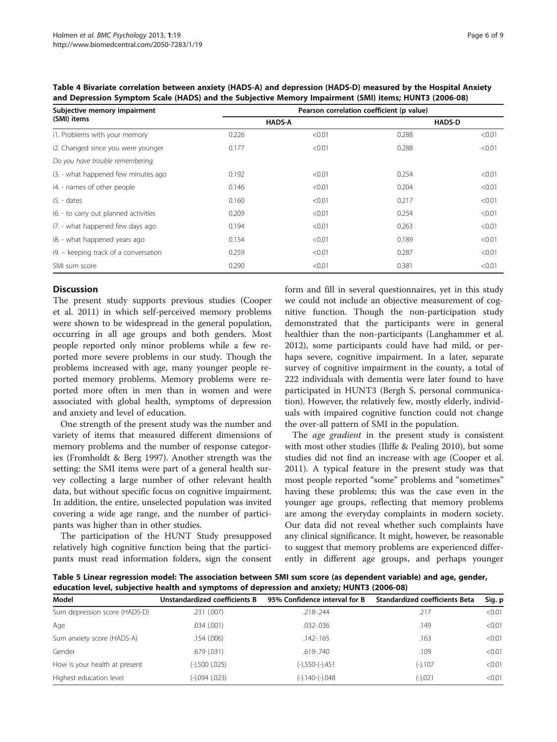| Subjective memory impairment          | Pearson correlation coefficient (p value) |               |               |        |  |  |  |  |
|---------------------------------------|-------------------------------------------|---------------|---------------|--------|--|--|--|--|
| (SMI) items                           |                                           | <b>HADS-A</b> | <b>HADS-D</b> |        |  |  |  |  |
| i1. Problems with your memory         | 0.226                                     | < 0.01        | 0.288         | < 0.01 |  |  |  |  |
| i2. Changed since you were younger    | 0.177                                     | < 0.01        | 0.288         | < 0.01 |  |  |  |  |
| Do you have trouble remembering:      |                                           |               |               |        |  |  |  |  |
| i3. - what happened few minutes ago   | 0.192                                     | < 0.01        | 0.254         | < 0.01 |  |  |  |  |
| i4. - names of other people           | 0.146                                     | < 0.01        | 0.204         | < 0.01 |  |  |  |  |
| i5. - dates                           | 0.160                                     | < 0.01        | 0.217         | < 0.01 |  |  |  |  |
| i6. - to carry out planned activities | 0.209                                     | < 0.01        | 0.254         | < 0.01 |  |  |  |  |
| i7. - what happened few days ago      | 0.194                                     | < 0.01        | 0.263         | < 0.01 |  |  |  |  |
| i8. - what happened years ago         | 0.154                                     | < 0.01        | 0.189         | < 0.01 |  |  |  |  |
| i9. - keeping track of a conversation | 0.259                                     | < 0.01        | 0.287         | < 0.01 |  |  |  |  |
| SMI sum score                         | 0.290                                     | < 0.01        | 0.381         | < 0.01 |  |  |  |  |

<span id="page-5-0"></span>Table 4 Bivariate correlation between anxiety (HADS-A) and depression (HADS-D) measured by the Hospital Anxiety and Depression Symptom Scale (HADS) and the Subjective Memory Impairment (SMI) items; HUNT3 (2006-08)

## **Discussion**

The present study supports previous studies (Cooper et al. [2011\)](#page-7-0) in which self-perceived memory problems were shown to be widespread in the general population, occurring in all age groups and both genders. Most people reported only minor problems while a few reported more severe problems in our study. Though the problems increased with age, many younger people reported memory problems. Memory problems were reported more often in men than in women and were associated with global health, symptoms of depression and anxiety and level of education.

One strength of the present study was the number and variety of items that measured different dimensions of memory problems and the number of response categories (Fromholdt & Berg [1997\)](#page-7-0). Another strength was the setting: the SMI items were part of a general health survey collecting a large number of other relevant health data, but without specific focus on cognitive impairment. In addition, the entire, unselected population was invited covering a wide age range, and the number of participants was higher than in other studies.

The participation of the HUNT Study presupposed relatively high cognitive function being that the participants must read information folders, sign the consent form and fill in several questionnaires, yet in this study we could not include an objective measurement of cognitive function. Though the non-participation study demonstrated that the participants were in general healthier than the non-participants (Langhammer et al. [2012](#page-7-0)), some participants could have had mild, or perhaps severe, cognitive impairment. In a later, separate survey of cognitive impairment in the county, a total of 222 individuals with dementia were later found to have participated in HUNT3 (Bergh S, personal communication). However, the relatively few, mostly elderly, individuals with impaired cognitive function could not change the over-all pattern of SMI in the population.

The *age gradient* in the present study is consistent with most other studies (Iliffe & Pealing [2010](#page-7-0)), but some studies did not find an increase with age (Cooper et al. [2011](#page-7-0)). A typical feature in the present study was that most people reported "some" problems and "sometimes" having these problems; this was the case even in the younger age groups, reflecting that memory problems are among the everyday complaints in modern society. Our data did not reveal whether such complaints have any clinical significance. It might, however, be reasonable to suggest that memory problems are experienced differently in different age groups, and perhaps younger

Table 5 Linear regression model: The association between SMI sum score (as dependent variable) and age, gender, education level, subjective health and symptoms of depression and anxiety; HUNT3 (2006-08)

| Model                         | Unstandardized coefficients B | 95% Confidence interval for B | <b>Standardized coefficients Beta</b> | Sig. p |
|-------------------------------|-------------------------------|-------------------------------|---------------------------------------|--------|
| Sum depression score (HADS-D) | .231(.007)                    | $.218 - 244$                  | .217                                  | < 0.01 |
| Age                           | .034(.001)                    | $.032 - .036$                 | .149                                  | < 0.01 |
| Sum anxiety score (HADS-A)    | .154(.006)                    | .142-.165                     | .163                                  | < 0.01 |
| Gender                        | .679(.031)                    | $.619 - .740$                 | .109                                  | < 0.01 |
| How is your health at present | $(-).500(.025)$               | $(-).550-(-).451$             | $(-)$ , 107                           | < 0.01 |
| Highest education level       | $(-) .094$ $(.023)$           | $(-)$ .140- $(-)$ .048        | $(-) .021$                            | < 0.01 |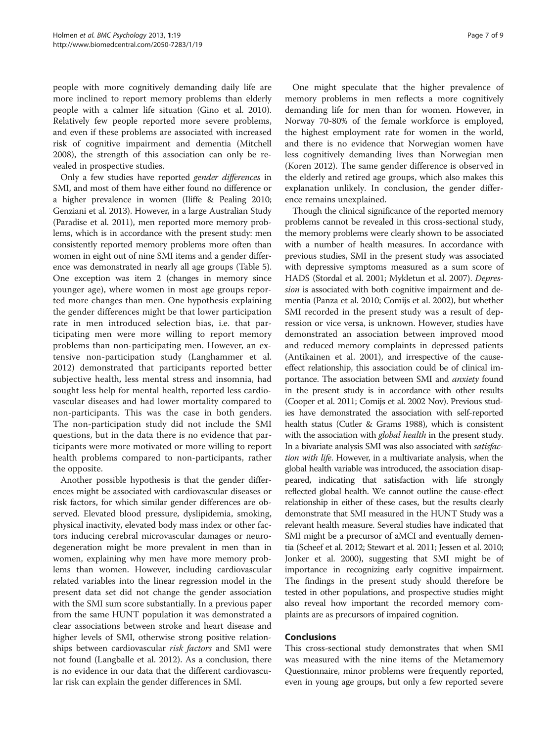people with more cognitively demanding daily life are more inclined to report memory problems than elderly people with a calmer life situation (Gino et al. [2010](#page-7-0)). Relatively few people reported more severe problems, and even if these problems are associated with increased risk of cognitive impairment and dementia (Mitchell [2008](#page-7-0)), the strength of this association can only be revealed in prospective studies.

Only a few studies have reported gender differences in SMI, and most of them have either found no difference or a higher prevalence in women (Iliffe & Pealing [2010](#page-7-0); Genziani et al. [2013](#page-7-0)). However, in a large Australian Study (Paradise et al. [2011](#page-7-0)), men reported more memory problems, which is in accordance with the present study: men consistently reported memory problems more often than women in eight out of nine SMI items and a gender difference was demonstrated in nearly all age groups (Table [5](#page-5-0)). One exception was item 2 (changes in memory since younger age), where women in most age groups reported more changes than men. One hypothesis explaining the gender differences might be that lower participation rate in men introduced selection bias, i.e. that participating men were more willing to report memory problems than non-participating men. However, an extensive non-participation study (Langhammer et al. [2012\)](#page-7-0) demonstrated that participants reported better subjective health, less mental stress and insomnia, had sought less help for mental health, reported less cardiovascular diseases and had lower mortality compared to non-participants. This was the case in both genders. The non-participation study did not include the SMI questions, but in the data there is no evidence that participants were more motivated or more willing to report health problems compared to non-participants, rather the opposite.

Another possible hypothesis is that the gender differences might be associated with cardiovascular diseases or risk factors, for which similar gender differences are observed. Elevated blood pressure, dyslipidemia, smoking, physical inactivity, elevated body mass index or other factors inducing cerebral microvascular damages or neurodegeneration might be more prevalent in men than in women, explaining why men have more memory problems than women. However, including cardiovascular related variables into the linear regression model in the present data set did not change the gender association with the SMI sum score substantially. In a previous paper from the same HUNT population it was demonstrated a clear associations between stroke and heart disease and higher levels of SMI, otherwise strong positive relationships between cardiovascular *risk factors* and SMI were not found (Langballe et al. [2012\)](#page-7-0). As a conclusion, there is no evidence in our data that the different cardiovascular risk can explain the gender differences in SMI.

One might speculate that the higher prevalence of memory problems in men reflects a more cognitively demanding life for men than for women. However, in Norway 70-80% of the female workforce is employed, the highest employment rate for women in the world, and there is no evidence that Norwegian women have less cognitively demanding lives than Norwegian men (Koren [2012\)](#page-7-0). The same gender difference is observed in the elderly and retired age groups, which also makes this explanation unlikely. In conclusion, the gender difference remains unexplained.

Though the clinical significance of the reported memory problems cannot be revealed in this cross-sectional study, the memory problems were clearly shown to be associated with a number of health measures. In accordance with previous studies, SMI in the present study was associated with depressive symptoms measured as a sum score of HADS (Stordal et al. [2001](#page-8-0); Mykletun et al. [2007\)](#page-7-0). Depression is associated with both cognitive impairment and dementia (Panza et al. [2010](#page-7-0); Comijs et al. [2002](#page-7-0)), but whether SMI recorded in the present study was a result of depression or vice versa, is unknown. However, studies have demonstrated an association between improved mood and reduced memory complaints in depressed patients (Antikainen et al. [2001\)](#page-7-0), and irrespective of the causeeffect relationship, this association could be of clinical importance. The association between SMI and anxiety found in the present study is in accordance with other results (Cooper et al. [2011;](#page-7-0) Comijs et al. [2002](#page-7-0) Nov). Previous studies have demonstrated the association with self-reported health status (Cutler & Grams [1988](#page-7-0)), which is consistent with the association with *global health* in the present study. In a bivariate analysis SMI was also associated with satisfaction with life. However, in a multivariate analysis, when the global health variable was introduced, the association disappeared, indicating that satisfaction with life strongly reflected global health. We cannot outline the cause-effect relationship in either of these cases, but the results clearly demonstrate that SMI measured in the HUNT Study was a relevant health measure. Several studies have indicated that SMI might be a precursor of aMCI and eventually dementia (Scheef et al. [2012](#page-8-0); Stewart et al. [2011](#page-8-0); Jessen et al. [2010](#page-7-0); Jonker et al. [2000\)](#page-7-0), suggesting that SMI might be of importance in recognizing early cognitive impairment. The findings in the present study should therefore be tested in other populations, and prospective studies might also reveal how important the recorded memory complaints are as precursors of impaired cognition.

#### Conclusions

This cross-sectional study demonstrates that when SMI was measured with the nine items of the Metamemory Questionnaire, minor problems were frequently reported, even in young age groups, but only a few reported severe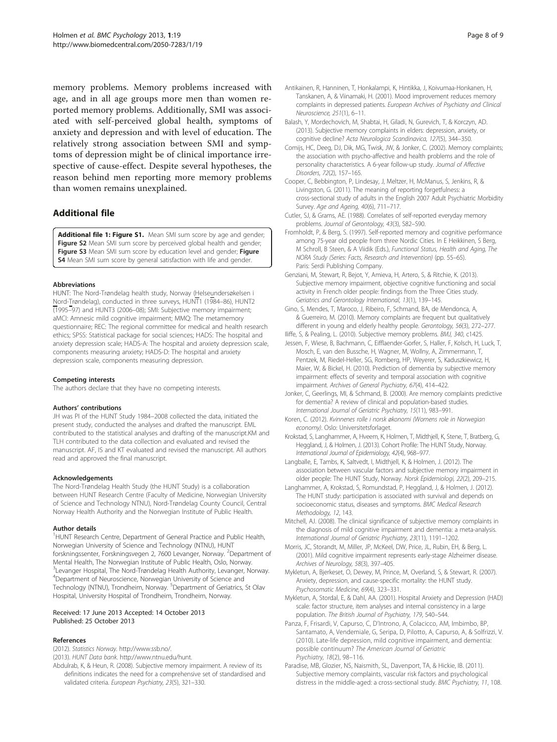<span id="page-7-0"></span>memory problems. Memory problems increased with age, and in all age groups more men than women reported memory problems. Additionally, SMI was associated with self-perceived global health, symptoms of anxiety and depression and with level of education. The relatively strong association between SMI and symptoms of depression might be of clinical importance irrespective of cause-effect. Despite several hypotheses, the reason behind men reporting more memory problems than women remains unexplained.

## Additional file

[Additional file 1: Figure S1.](http://www.biomedcentral.com/content/supplementary/2050-7283-1-19-S1.doc) Mean SMI sum score by age and gender; Figure S2 Mean SMI sum score by perceived global health and gender; Figure S3 Mean SMI sum score by education level and gender; Figure S4 Mean SMI sum score by general satisfaction with life and gender.

#### Abbreviations

HUNT: The Nord-Trøndelag health study, Norway (Helseundersøkelsen i Nord-Trøndelag), conducted in three surveys, HUNT1 (1984–86), HUNT2 (1995–97) and HUNT3 (2006–08); SMI: Subjective memory impairment; aMCI: Amnesic mild cognitive impairment; MMQ: The metamemory questionnaire; REC: The regional committee for medical and health research ethics; SPSS: Statistical package for social sciences; HADS: The hospital and anxiety depression scale; HADS-A: The hospital and anxiety depression scale, components measuring anxiety; HADS-D: The hospital and anxiety depression scale, components measuring depression.

#### Competing interests

The authors declare that they have no competing interests.

#### Authors' contributions

JH was PI of the HUNT Study 1984–2008 collected the data, initiated the present study, conducted the analyses and drafted the manuscript. EML contributed to the statistical analyses and drafting of the manuscript.KM and TLH contributed to the data collection and evaluated and revised the manuscript. AF, IS and KT evaluated and revised the manuscript. All authors read and approved the final manuscript.

#### Acknowledgements

The Nord-Trøndelag Health Study (the HUNT Study) is a collaboration between HUNT Research Centre (Faculty of Medicine, Norwegian University of Science and Technology NTNU), Nord-Trøndelag County Council, Central Norway Health Authority and the Norwegian Institute of Public Health.

#### Author details

<sup>1</sup>HUNT Research Centre, Department of General Practice and Public Health, Norwegian University of Science and Technology (NTNU), HUNT forskningssenter, Forskningsvegen 2, 7600 Levanger, Norway. <sup>2</sup>Department of Mental Health, The Norwegian Institute of Public Health, Oslo, Norway. <sup>3</sup>Levanger Hospital, The Nord-Trøndelag Health Authority, Levanger, Norway. 4 Department of Neuroscience, Norwegian University of Science and Technology (NTNU), Trondheim, Norway. <sup>5</sup>Department of Geriatrics, St Olav Hospital, University Hospital of Trondheim, Trondheim, Norway.

#### Received: 17 June 2013 Accepted: 14 October 2013 Published: 25 October 2013

## References

(2012). Statistics Norway.<http://www.ssb.no/>.

(2013). HUNT Data bank.<http://www.ntnu.edu/hunt>.

Abdulrab, K, & Heun, R. (2008). Subjective memory impairment. A review of its definitions indicates the need for a comprehensive set of standardised and validated criteria. European Psychiatry, 23(5), 321–330.

- Antikainen, R, Hanninen, T, Honkalampi, K, Hintikka, J, Koivumaa-Honkanen, H, Tanskanen, A, & Viinamaki, H. (2001). Mood improvement reduces memory complaints in depressed patients. European Archives of Psychiatry and Clinical Neuroscience, 251(1), 6–11.
- Balash, Y, Mordechovich, M, Shabtai, H, Giladi, N, Gurevich, T, & Korczyn, AD. (2013). Subjective memory complaints in elders: depression, anxiety, or cognitive decline? Acta Neurologica Scandinavica, 127(5), 344–350.
- Comijs, HC, Deeg, DJ, Dik, MG, Twisk, JW, & Jonker, C. (2002). Memory complaints; the association with psycho-affective and health problems and the role of personality characteristics. A 6-year follow-up study. Journal of Affective Disorders, 72(2), 157–165.
- Cooper, C, Bebbington, P, Lindesay, J, Meltzer, H, McManus, S, Jenkins, R, & Livingston, G. (2011). The meaning of reporting forgetfulness: a cross-sectional study of adults in the English 2007 Adult Psychiatric Morbidity Survey. Age and Ageing, 40(6), 711–717.
- Cutler, SJ, & Grams, AE. (1988). Correlates of self-reported everyday memory problems. Journal of Gerontology, 43(3), S82–S90.
- Fromholdt, P, & Berg, S. (1997). Self-reported memory and cognitive performance among 75-year old people from three Nordic Cities. In E Heikkinen, S Berg, M Schroll, B Steen, & A Viidik (Eds.), Functional Status, Health and Aging, The NORA Study (Series: Facts, Research and Intervention) (pp. 55–65). Paris: Serdi Publishing Company.
- Genziani, M, Stewart, R, Bejot, Y, Amieva, H, Artero, S, & Ritchie, K. (2013). Subjective memory impairment, objective cognitive functioning and social activity in French older people: findings from the Three Cities study. Geriatrics and Gerontology International, 13(1), 139–145.
- Gino, S, Mendes, T, Maroco, J, Ribeiro, F, Schmand, BA, de Mendonca, A, & Guerreiro, M. (2010). Memory complaints are frequent but qualitatively different in young and elderly healthy people. Gerontology, 56(3), 272–277.
- Iliffe, S, & Pealing, L. (2010). Subjective memory problems. BMJ, 340, c1425. Jessen, F, Wiese, B, Bachmann, C, Eifflaender-Gorfer, S, Haller, F, Kolsch, H, Luck, T, Mosch, E, van den Bussche, H, Wagner, M, Wollny, A, Zimmermann, T, Pentzek, M, Riedel-Heller, SG, Romberg, HP, Weyerer, S, Kaduszkiewicz, H, Maier, W, & Bickel, H. (2010). Prediction of dementia by subjective memory impairment: effects of severity and temporal association with cognitive impairment. Archives of General Psychiatry, 67(4), 414–422.
- Jonker, C, Geerlings, MI, & Schmand, B. (2000). Are memory complaints predictive for dementia? A review of clinical and population-based studies. International Journal of Geriatric Psychiatry, 15(11), 983–991.
- Koren, C. (2012). Kvinnenes rolle i norsk økonomi (Womens role in Norwegian economy). Oslo: Universitetsforlaget.
- Krokstad, S, Langhammer, A, Hveem, K, Holmen, T, Midthjell, K, Stene, T, Bratberg, G, Heggland, J, & Holmen, J. (2013). Cohort Profile: The HUNT Study, Norway. International Journal of Epidemiology, 42(4), 968–977.
- Langballe, E, Tambs, K, Saltvedt, I, Midthjell, K, & Holmen, J. (2012). The association between vascular factors and subjective memory impairment in older people: The HUNT Study, Norway. Norsk Epidemiologi, 22(2), 209–215.
- Langhammer, A, Krokstad, S, Romundstad, P, Heggland, J, & Holmen, J. (2012). The HUNT study: participation is associated with survival and depends on socioeconomic status, diseases and symptoms. BMC Medical Research Methodology, 12, 143.
- Mitchell, AJ. (2008). The clinical significance of subjective memory complaints in the diagnosis of mild cognitive impairment and dementia: a meta-analysis. International Journal of Geriatric Psychiatry, 23(11), 1191–1202.
- Morris, JC, Storandt, M, Miller, JP, McKeel, DW, Price, JL, Rubin, EH, & Berg, L. (2001). Mild cognitive impairment represents early-stage Alzheimer disease. Archives of Neurology, 58(3), 397–405.
- Mykletun, A, Bjerkeset, O, Dewey, M, Prince, M, Overland, S, & Stewart, R. (2007). Anxiety, depression, and cause-specific mortality: the HUNT study. Psychosomatic Medicine, 69(4), 323–331.
- Mykletun, A, Stordal, E, & Dahl, AA. (2001). Hospital Anxiety and Depression (HAD) scale: factor structure, item analyses and internal consistency in a large population. The British Journal of Psychiatry, 179, 540–544.
- Panza, F, Frisardi, V, Capurso, C, D'Introno, A, Colacicco, AM, Imbimbo, BP, Santamato, A, Vendemiale, G, Seripa, D, Pilotto, A, Capurso, A, & Solfrizzi, V. (2010). Late-life depression, mild cognitive impairment, and dementia: possible continuum? The American Journal of Geriatric Psychiatry, 18(2), 98–116.
- Paradise, MB, Glozier, NS, Naismith, SL, Davenport, TA, & Hickie, IB. (2011). Subjective memory complaints, vascular risk factors and psychological distress in the middle-aged: a cross-sectional study. BMC Psychiatry, 11, 108.